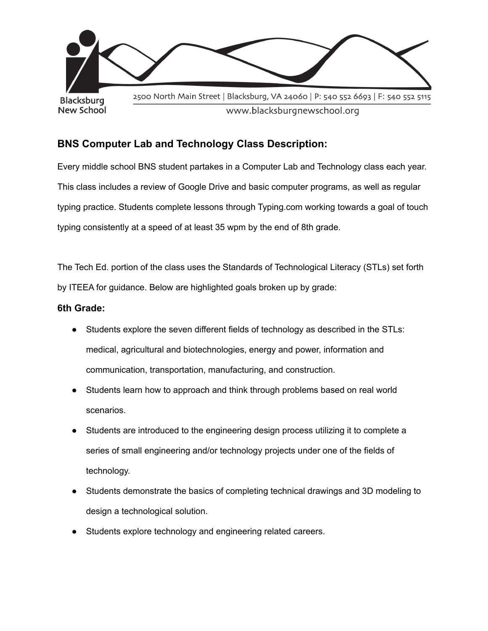

# **BNS Computer Lab and Technology Class Description:**

Every middle school BNS student partakes in a Computer Lab and Technology class each year. This class includes a review of Google Drive and basic computer programs, as well as regular typing practice. Students complete lessons through Typing.com working towards a goal of touch typing consistently at a speed of at least 35 wpm by the end of 8th grade.

The Tech Ed. portion of the class uses the Standards of Technological Literacy (STLs) set forth by ITEEA for guidance. Below are highlighted goals broken up by grade:

## **6th Grade:**

- Students explore the seven different fields of technology as described in the STLs: medical, agricultural and biotechnologies, energy and power, information and communication, transportation, manufacturing, and construction.
- Students learn how to approach and think through problems based on real world scenarios.
- Students are introduced to the engineering design process utilizing it to complete a series of small engineering and/or technology projects under one of the fields of technology.
- Students demonstrate the basics of completing technical drawings and 3D modeling to design a technological solution.
- Students explore technology and engineering related careers.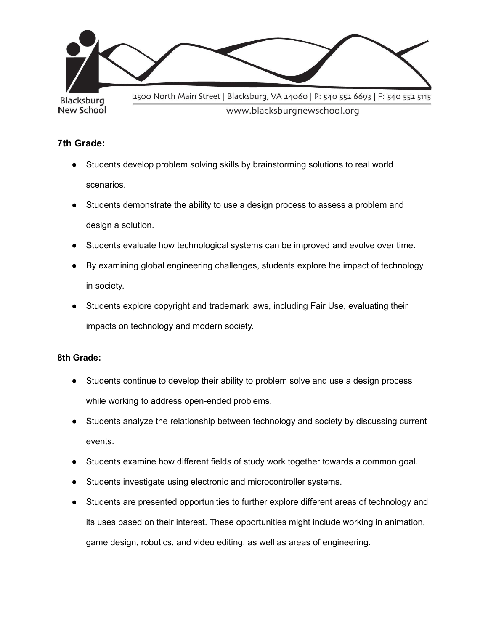

## **7th Grade:**

- Students develop problem solving skills by brainstorming solutions to real world scenarios.
- Students demonstrate the ability to use a design process to assess a problem and design a solution.
- Students evaluate how technological systems can be improved and evolve over time.
- By examining global engineering challenges, students explore the impact of technology in society.
- Students explore copyright and trademark laws, including Fair Use, evaluating their impacts on technology and modern society.

### **8th Grade:**

- Students continue to develop their ability to problem solve and use a design process while working to address open-ended problems.
- Students analyze the relationship between technology and society by discussing current events.
- Students examine how different fields of study work together towards a common goal.
- Students investigate using electronic and microcontroller systems.
- Students are presented opportunities to further explore different areas of technology and its uses based on their interest. These opportunities might include working in animation, game design, robotics, and video editing, as well as areas of engineering.